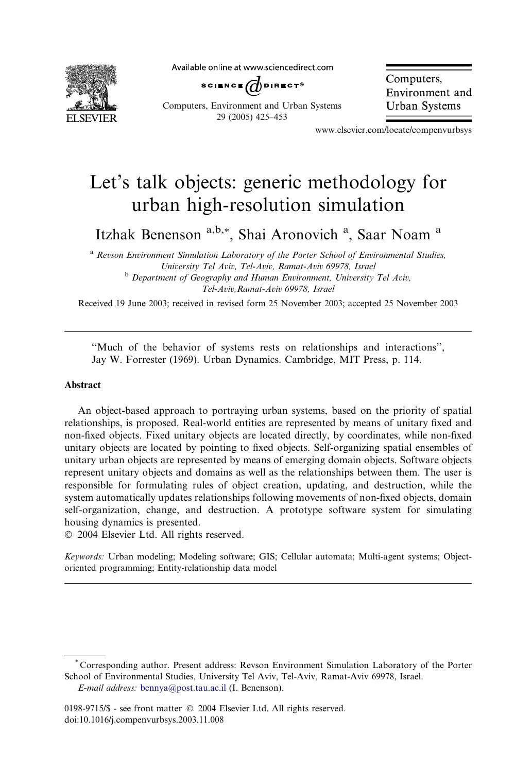

Available online at www.sciencedirect.com



Computers, Environment and Urban Systems 29 (2005) 425–453

Computers, Environment and **Urban Systems** 

www.elsevier.com/locate/compenvurbsys

# Let's talk objects: generic methodology for urban high-resolution simulation

Itzhak Benenson<sup>a,b,\*</sup>, Shai Aronovich<sup>a</sup>, Saar Noam<sup>a</sup>

<sup>a</sup> Revson Environment Simulation Laboratory of the Porter School of Environmental Studies, University Tel Aviv, Tel-Aviv, Ramat-Aviv 69978, Israel <sup>b</sup> Department of Geography and Human Environment, University Tel Aviv, Tel-Aviv,Ramat-Aviv 69978, Israel

Received 19 June 2003; received in revised form 25 November 2003; accepted 25 November 2003

''Much of the behavior of systems rests on relationships and interactions'', Jay W. Forrester (1969). Urban Dynamics. Cambridge, MIT Press, p. 114.

#### Abstract

An object-based approach to portraying urban systems, based on the priority of spatial relationships, is proposed. Real-world entities are represented by means of unitary fixed and non-fixed objects. Fixed unitary objects are located directly, by coordinates, while non-fixed unitary objects are located by pointing to fixed objects. Self-organizing spatial ensembles of unitary urban objects are represented by means of emerging domain objects. Software objects represent unitary objects and domains as well as the relationships between them. The user is responsible for formulating rules of object creation, updating, and destruction, while the system automatically updates relationships following movements of non-fixed objects, domain self-organization, change, and destruction. A prototype software system for simulating housing dynamics is presented.

2004 Elsevier Ltd. All rights reserved.

Keywords: Urban modeling; Modeling software; GIS; Cellular automata; Multi-agent systems; Objectoriented programming; Entity-relationship data model

<sup>\*</sup> Corresponding author. Present address: Revson Environment Simulation Laboratory of the Porter School of Environmental Studies, University Tel Aviv, Tel-Aviv, Ramat-Aviv 69978, Israel. E-mail address: [bennya@post.tau.ac.il](mailto:bennya@post.tau.ac.il) (I. Benenson).

<sup>0198-9715/\$ -</sup> see front matter  $\odot$  2004 Elsevier Ltd. All rights reserved. doi:10.1016/j.compenvurbsys.2003.11.008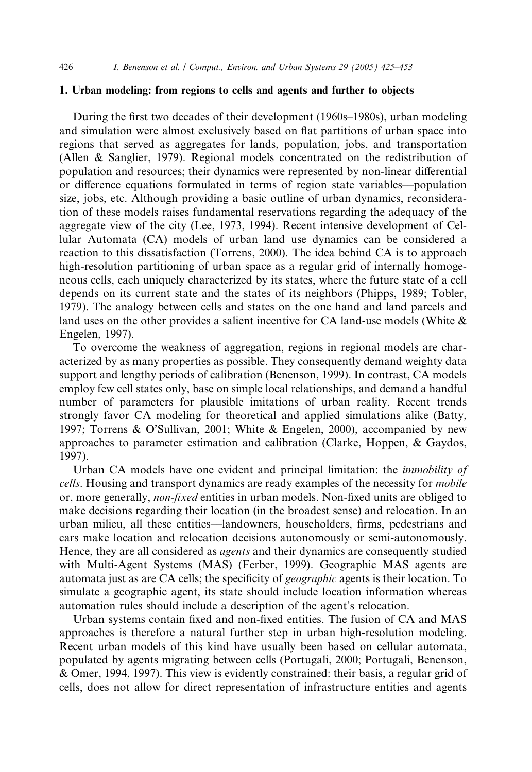#### 1. Urban modeling: from regions to cells and agents and further to objects

During the first two decades of their development (1960s–1980s), urban modeling and simulation were almost exclusively based on flat partitions of urban space into regions that served as aggregates for lands, population, jobs, and transportation (Allen & Sanglier, 1979). Regional models concentrated on the redistribution of population and resources; their dynamics were represented by non-linear differential or difference equations formulated in terms of region state variables––population size, jobs, etc. Although providing a basic outline of urban dynamics, reconsideration of these models raises fundamental reservations regarding the adequacy of the aggregate view of the city (Lee, 1973, 1994). Recent intensive development of Cellular Automata (CA) models of urban land use dynamics can be considered a reaction to this dissatisfaction (Torrens, 2000). The idea behind CA is to approach high-resolution partitioning of urban space as a regular grid of internally homogeneous cells, each uniquely characterized by its states, where the future state of a cell depends on its current state and the states of its neighbors (Phipps, 1989; Tobler, 1979). The analogy between cells and states on the one hand and land parcels and land uses on the other provides a salient incentive for CA land-use models (White & Engelen, 1997).

To overcome the weakness of aggregation, regions in regional models are characterized by as many properties as possible. They consequently demand weighty data support and lengthy periods of calibration (Benenson, 1999). In contrast, CA models employ few cell states only, base on simple local relationships, and demand a handful number of parameters for plausible imitations of urban reality. Recent trends strongly favor CA modeling for theoretical and applied simulations alike (Batty, 1997; Torrens & O'Sullivan, 2001; White & Engelen, 2000), accompanied by new approaches to parameter estimation and calibration (Clarke, Hoppen, & Gaydos, 1997).

Urban CA models have one evident and principal limitation: the *immobility of* cells. Housing and transport dynamics are ready examples of the necessity for mobile or, more generally, non-fixed entities in urban models. Non-fixed units are obliged to make decisions regarding their location (in the broadest sense) and relocation. In an urban milieu, all these entities––landowners, householders, firms, pedestrians and cars make location and relocation decisions autonomously or semi-autonomously. Hence, they are all considered as agents and their dynamics are consequently studied with Multi-Agent Systems (MAS) (Ferber, 1999). Geographic MAS agents are automata just as are CA cells; the specificity of geographic agents is their location. To simulate a geographic agent, its state should include location information whereas automation rules should include a description of the agent's relocation.

Urban systems contain fixed and non-fixed entities. The fusion of CA and MAS approaches is therefore a natural further step in urban high-resolution modeling. Recent urban models of this kind have usually been based on cellular automata, populated by agents migrating between cells (Portugali, 2000; Portugali, Benenson, & Omer, 1994, 1997). This view is evidently constrained: their basis, a regular grid of cells, does not allow for direct representation of infrastructure entities and agents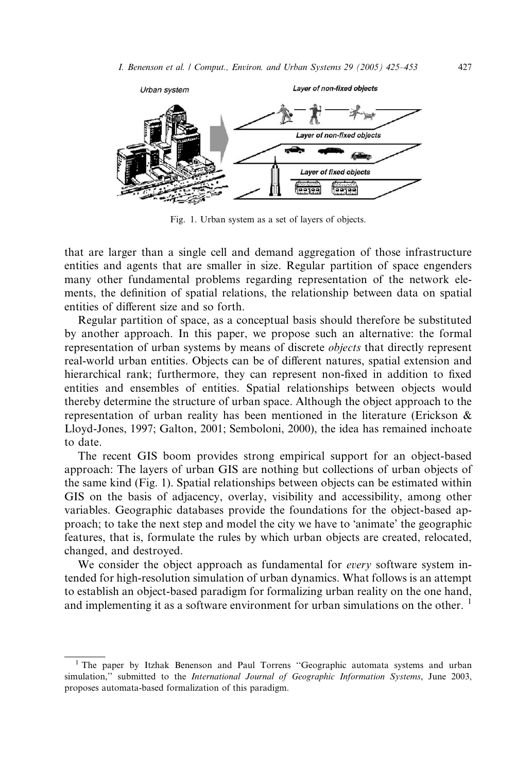

Fig. 1. Urban system as a set of layers of objects.

that are larger than a single cell and demand aggregation of those infrastructure entities and agents that are smaller in size. Regular partition of space engenders many other fundamental problems regarding representation of the network elements, the definition of spatial relations, the relationship between data on spatial entities of different size and so forth.

Regular partition of space, as a conceptual basis should therefore be substituted by another approach. In this paper, we propose such an alternative: the formal representation of urban systems by means of discrete objects that directly represent real-world urban entities. Objects can be of different natures, spatial extension and hierarchical rank; furthermore, they can represent non-fixed in addition to fixed entities and ensembles of entities. Spatial relationships between objects would thereby determine the structure of urban space. Although the object approach to the representation of urban reality has been mentioned in the literature (Erickson & Lloyd-Jones, 1997; Galton, 2001; Semboloni, 2000), the idea has remained inchoate to date.

The recent GIS boom provides strong empirical support for an object-based approach: The layers of urban GIS are nothing but collections of urban objects of the same kind (Fig. 1). Spatial relationships between objects can be estimated within GIS on the basis of adjacency, overlay, visibility and accessibility, among other variables. Geographic databases provide the foundations for the object-based approach; to take the next step and model the city we have to 'animate' the geographic features, that is, formulate the rules by which urban objects are created, relocated, changed, and destroyed.

We consider the object approach as fundamental for *every* software system intended for high-resolution simulation of urban dynamics. What follows is an attempt to establish an object-based paradigm for formalizing urban reality on the one hand, and implementing it as a software environment for urban simulations on the other.<sup>1</sup>

<sup>&</sup>lt;sup>1</sup> The paper by Itzhak Benenson and Paul Torrens "Geographic automata systems and urban simulation," submitted to the *International Journal of Geographic Information Systems*, June 2003, proposes automata-based formalization of this paradigm.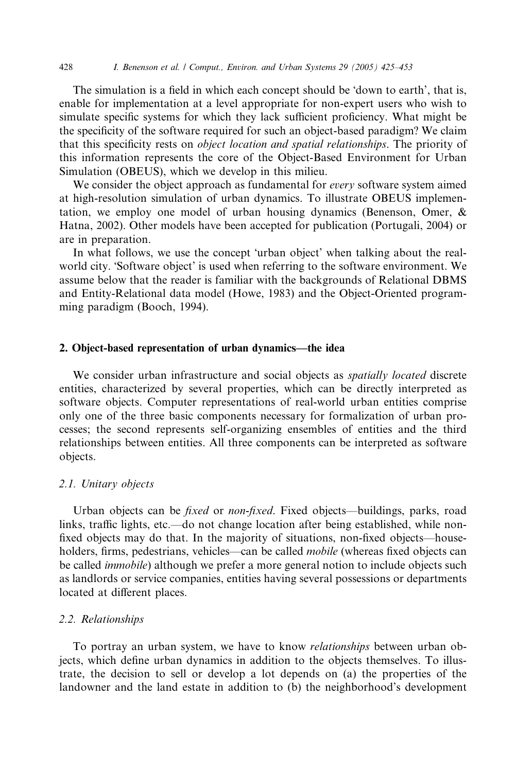#### 428 I. Benenson et al. / Comput., Environ. and Urban Systems 29 (2005) 425–453

The simulation is a field in which each concept should be 'down to earth', that is, enable for implementation at a level appropriate for non-expert users who wish to simulate specific systems for which they lack sufficient proficiency. What might be the specificity of the software required for such an object-based paradigm? We claim that this specificity rests on object location and spatial relationships. The priority of this information represents the core of the Object-Based Environment for Urban Simulation (OBEUS), which we develop in this milieu.

We consider the object approach as fundamental for *every* software system aimed at high-resolution simulation of urban dynamics. To illustrate OBEUS implementation, we employ one model of urban housing dynamics (Benenson, Omer, & Hatna, 2002). Other models have been accepted for publication (Portugali, 2004) or are in preparation.

In what follows, we use the concept 'urban object' when talking about the realworld city. Software object' is used when referring to the software environment. We assume below that the reader is familiar with the backgrounds of Relational DBMS and Entity-Relational data model (Howe, 1983) and the Object-Oriented programming paradigm (Booch, 1994).

# 2. Object-based representation of urban dynamics––the idea

We consider urban infrastructure and social objects as *spatially located* discrete entities, characterized by several properties, which can be directly interpreted as software objects. Computer representations of real-world urban entities comprise only one of the three basic components necessary for formalization of urban processes; the second represents self-organizing ensembles of entities and the third relationships between entities. All three components can be interpreted as software objects.

# 2.1. Unitary objects

Urban objects can be fixed or non-fixed. Fixed objects––buildings, parks, road links, traffic lights, etc.—do not change location after being established, while nonfixed objects may do that. In the majority of situations, non-fixed objects––householders, firms, pedestrians, vehicles—can be called *mobile* (whereas fixed objects can be called *immobile*) although we prefer a more general notion to include objects such as landlords or service companies, entities having several possessions or departments located at different places.

#### 2.2. Relationships

To portray an urban system, we have to know relationships between urban objects, which define urban dynamics in addition to the objects themselves. To illustrate, the decision to sell or develop a lot depends on (a) the properties of the landowner and the land estate in addition to (b) the neighborhood's development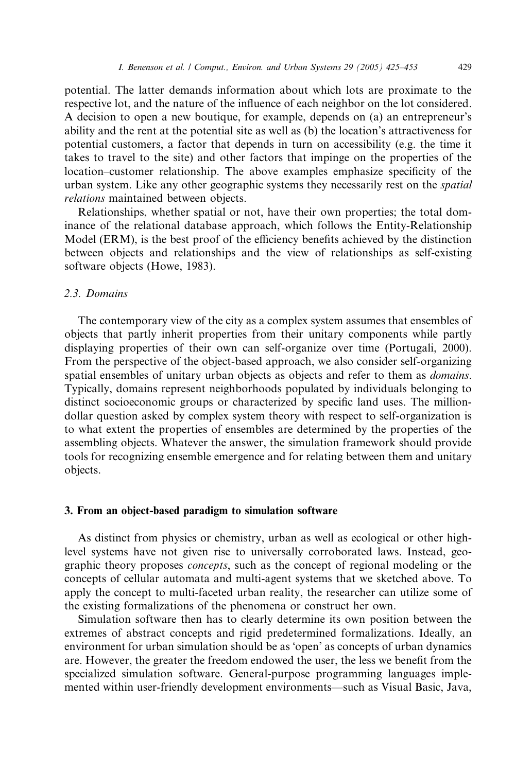potential. The latter demands information about which lots are proximate to the respective lot, and the nature of the influence of each neighbor on the lot considered. A decision to open a new boutique, for example, depends on (a) an entrepreneur's ability and the rent at the potential site as well as (b) the location's attractiveness for potential customers, a factor that depends in turn on accessibility (e.g. the time it takes to travel to the site) and other factors that impinge on the properties of the location–customer relationship. The above examples emphasize specificity of the urban system. Like any other geographic systems they necessarily rest on the spatial relations maintained between objects.

Relationships, whether spatial or not, have their own properties; the total dominance of the relational database approach, which follows the Entity-Relationship Model (ERM), is the best proof of the efficiency benefits achieved by the distinction between objects and relationships and the view of relationships as self-existing software objects (Howe, 1983).

#### 2.3. Domains

The contemporary view of the city as a complex system assumes that ensembles of objects that partly inherit properties from their unitary components while partly displaying properties of their own can self-organize over time (Portugali, 2000). From the perspective of the object-based approach, we also consider self-organizing spatial ensembles of unitary urban objects as objects and refer to them as *domains*. Typically, domains represent neighborhoods populated by individuals belonging to distinct socioeconomic groups or characterized by specific land uses. The milliondollar question asked by complex system theory with respect to self-organization is to what extent the properties of ensembles are determined by the properties of the assembling objects. Whatever the answer, the simulation framework should provide tools for recognizing ensemble emergence and for relating between them and unitary objects.

#### 3. From an object-based paradigm to simulation software

As distinct from physics or chemistry, urban as well as ecological or other highlevel systems have not given rise to universally corroborated laws. Instead, geographic theory proposes concepts, such as the concept of regional modeling or the concepts of cellular automata and multi-agent systems that we sketched above. To apply the concept to multi-faceted urban reality, the researcher can utilize some of the existing formalizations of the phenomena or construct her own.

Simulation software then has to clearly determine its own position between the extremes of abstract concepts and rigid predetermined formalizations. Ideally, an environment for urban simulation should be as 'open' as concepts of urban dynamics are. However, the greater the freedom endowed the user, the less we benefit from the specialized simulation software. General-purpose programming languages implemented within user-friendly development environments––such as Visual Basic, Java,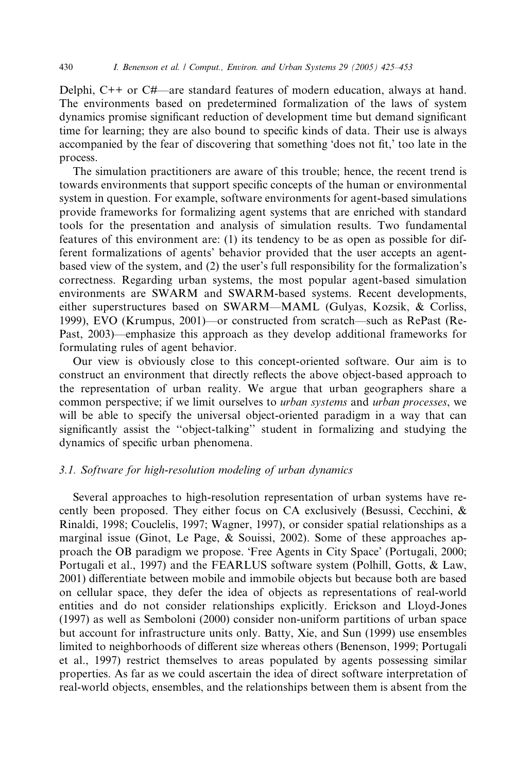Delphi, C++ or C#––are standard features of modern education, always at hand. The environments based on predetermined formalization of the laws of system dynamics promise significant reduction of development time but demand significant time for learning; they are also bound to specific kinds of data. Their use is always accompanied by the fear of discovering that something 'does not fit,' too late in the process.

The simulation practitioners are aware of this trouble; hence, the recent trend is towards environments that support specific concepts of the human or environmental system in question. For example, software environments for agent-based simulations provide frameworks for formalizing agent systems that are enriched with standard tools for the presentation and analysis of simulation results. Two fundamental features of this environment are: (1) its tendency to be as open as possible for different formalizations of agents' behavior provided that the user accepts an agentbased view of the system, and (2) the user's full responsibility for the formalization's correctness. Regarding urban systems, the most popular agent-based simulation environments are SWARM and SWARM-based systems. Recent developments, either superstructures based on SWARM––MAML (Gulyas, Kozsik, & Corliss, 1999), EVO (Krumpus, 2001)––or constructed from scratch––such as RePast (Re-Past, 2003)––emphasize this approach as they develop additional frameworks for formulating rules of agent behavior.

Our view is obviously close to this concept-oriented software. Our aim is to construct an environment that directly reflects the above object-based approach to the representation of urban reality. We argue that urban geographers share a common perspective; if we limit ourselves to *urban systems* and *urban processes*, we will be able to specify the universal object-oriented paradigm in a way that can significantly assist the ''object-talking'' student in formalizing and studying the dynamics of specific urban phenomena.

# 3.1. Software for high-resolution modeling of urban dynamics

Several approaches to high-resolution representation of urban systems have recently been proposed. They either focus on CA exclusively (Besussi, Cecchini, & Rinaldi, 1998; Couclelis, 1997; Wagner, 1997), or consider spatial relationships as a marginal issue (Ginot, Le Page, & Souissi, 2002). Some of these approaches approach the OB paradigm we propose. Free Agents in City Space' (Portugali, 2000; Portugali et al., 1997) and the FEARLUS software system (Polhill, Gotts, & Law, 2001) differentiate between mobile and immobile objects but because both are based on cellular space, they defer the idea of objects as representations of real-world entities and do not consider relationships explicitly. Erickson and Lloyd-Jones (1997) as well as Semboloni (2000) consider non-uniform partitions of urban space but account for infrastructure units only. Batty, Xie, and Sun (1999) use ensembles limited to neighborhoods of different size whereas others (Benenson, 1999; Portugali et al., 1997) restrict themselves to areas populated by agents possessing similar properties. As far as we could ascertain the idea of direct software interpretation of real-world objects, ensembles, and the relationships between them is absent from the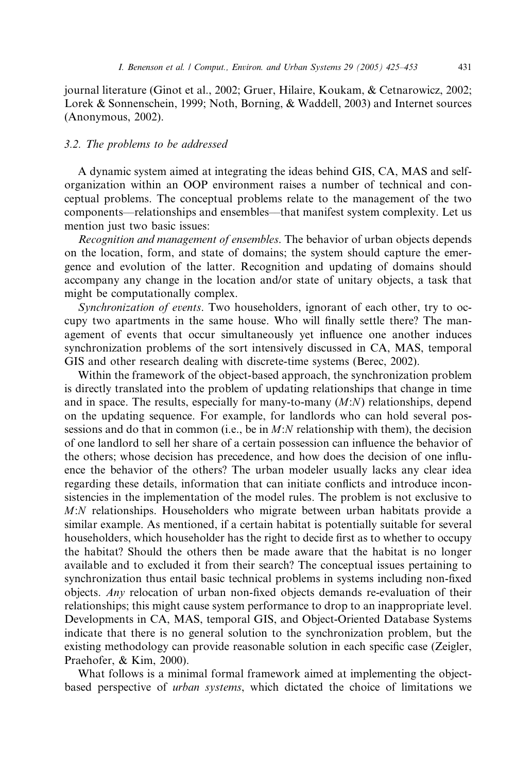journal literature (Ginot et al., 2002; Gruer, Hilaire, Koukam, & Cetnarowicz, 2002; Lorek & Sonnenschein, 1999; Noth, Borning, & Waddell, 2003) and Internet sources (Anonymous, 2002).

# 3.2. The problems to be addressed

A dynamic system aimed at integrating the ideas behind GIS, CA, MAS and selforganization within an OOP environment raises a number of technical and conceptual problems. The conceptual problems relate to the management of the two components––relationships and ensembles––that manifest system complexity. Let us mention just two basic issues:

Recognition and management of ensembles. The behavior of urban objects depends on the location, form, and state of domains; the system should capture the emergence and evolution of the latter. Recognition and updating of domains should accompany any change in the location and/or state of unitary objects, a task that might be computationally complex.

Synchronization of events. Two householders, ignorant of each other, try to occupy two apartments in the same house. Who will finally settle there? The management of events that occur simultaneously yet influence one another induces synchronization problems of the sort intensively discussed in CA, MAS, temporal GIS and other research dealing with discrete-time systems (Berec, 2002).

Within the framework of the object-based approach, the synchronization problem is directly translated into the problem of updating relationships that change in time and in space. The results, especially for many-to-many  $(M:N)$  relationships, depend on the updating sequence. For example, for landlords who can hold several possessions and do that in common (i.e., be in  $M:N$  relationship with them), the decision of one landlord to sell her share of a certain possession can influence the behavior of the others; whose decision has precedence, and how does the decision of one influence the behavior of the others? The urban modeler usually lacks any clear idea regarding these details, information that can initiate conflicts and introduce inconsistencies in the implementation of the model rules. The problem is not exclusive to  $M/N$  relationships. Householders who migrate between urban habitats provide a similar example. As mentioned, if a certain habitat is potentially suitable for several householders, which householder has the right to decide first as to whether to occupy the habitat? Should the others then be made aware that the habitat is no longer available and to excluded it from their search? The conceptual issues pertaining to synchronization thus entail basic technical problems in systems including non-fixed objects. Any relocation of urban non-fixed objects demands re-evaluation of their relationships; this might cause system performance to drop to an inappropriate level. Developments in CA, MAS, temporal GIS, and Object-Oriented Database Systems indicate that there is no general solution to the synchronization problem, but the existing methodology can provide reasonable solution in each specific case (Zeigler, Praehofer, & Kim, 2000).

What follows is a minimal formal framework aimed at implementing the objectbased perspective of urban systems, which dictated the choice of limitations we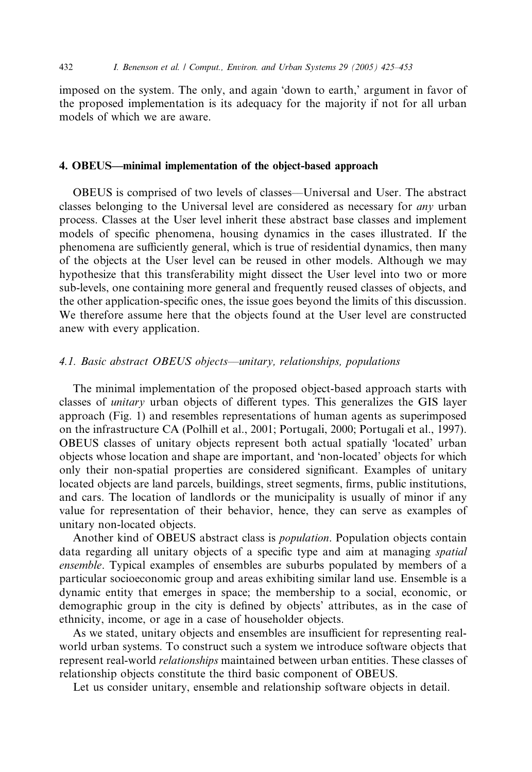imposed on the system. The only, and again 'down to earth,' argument in favor of the proposed implementation is its adequacy for the majority if not for all urban models of which we are aware.

### 4. OBEUS––minimal implementation of the object-based approach

OBEUS is comprised of two levels of classes––Universal and User. The abstract classes belonging to the Universal level are considered as necessary for any urban process. Classes at the User level inherit these abstract base classes and implement models of specific phenomena, housing dynamics in the cases illustrated. If the phenomena are sufficiently general, which is true of residential dynamics, then many of the objects at the User level can be reused in other models. Although we may hypothesize that this transferability might dissect the User level into two or more sub-levels, one containing more general and frequently reused classes of objects, and the other application-specific ones, the issue goes beyond the limits of this discussion. We therefore assume here that the objects found at the User level are constructed anew with every application.

# 4.1. Basic abstract OBEUS objects—unitary, relationships, populations

The minimal implementation of the proposed object-based approach starts with classes of unitary urban objects of different types. This generalizes the GIS layer approach (Fig. 1) and resembles representations of human agents as superimposed on the infrastructure CA (Polhill et al., 2001; Portugali, 2000; Portugali et al., 1997). OBEUS classes of unitary objects represent both actual spatially located' urban objects whose location and shape are important, and 'non-located' objects for which only their non-spatial properties are considered significant. Examples of unitary located objects are land parcels, buildings, street segments, firms, public institutions, and cars. The location of landlords or the municipality is usually of minor if any value for representation of their behavior, hence, they can serve as examples of unitary non-located objects.

Another kind of OBEUS abstract class is population. Population objects contain data regarding all unitary objects of a specific type and aim at managing spatial ensemble. Typical examples of ensembles are suburbs populated by members of a particular socioeconomic group and areas exhibiting similar land use. Ensemble is a dynamic entity that emerges in space; the membership to a social, economic, or demographic group in the city is defined by objects' attributes, as in the case of ethnicity, income, or age in a case of householder objects.

As we stated, unitary objects and ensembles are insufficient for representing realworld urban systems. To construct such a system we introduce software objects that represent real-world relationships maintained between urban entities. These classes of relationship objects constitute the third basic component of OBEUS.

Let us consider unitary, ensemble and relationship software objects in detail.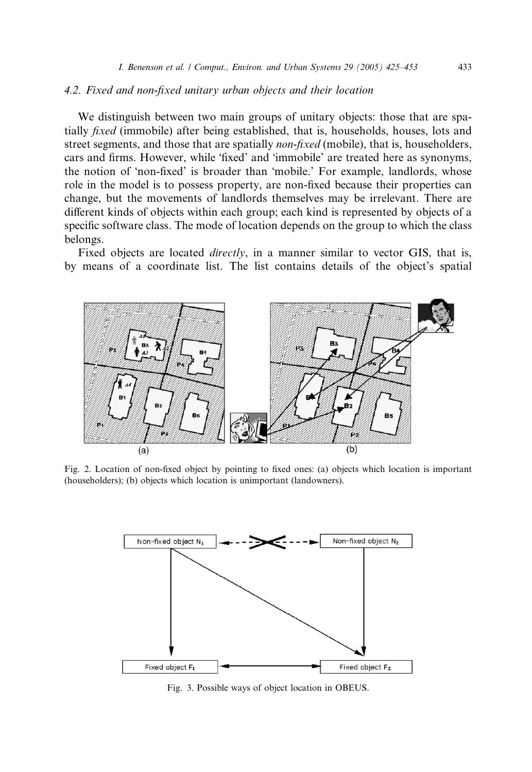## 4.2. Fixed and non-fixed unitary urban objects and their location

We distinguish between two main groups of unitary objects: those that are spatially fixed (immobile) after being established, that is, households, houses, lots and street segments, and those that are spatially *non-fixed* (mobile), that is, householders, cars and firms. However, while fixed' and immobile' are treated here as synonyms, the notion of 'non-fixed' is broader than 'mobile.' For example, landlords, whose role in the model is to possess property, are non-fixed because their properties can change, but the movements of landlords themselves may be irrelevant. There are different kinds of objects within each group; each kind is represented by objects of a specific software class. The mode of location depends on the group to which the class belongs.

Fixed objects are located *directly*, in a manner similar to vector GIS, that is, by means of a coordinate list. The list contains details of the object's spatial



Fig. 2. Location of non-fixed object by pointing to fixed ones: (a) objects which location is important (householders); (b) objects which location is unimportant (landowners).



Fig. 3. Possible ways of object location in OBEUS.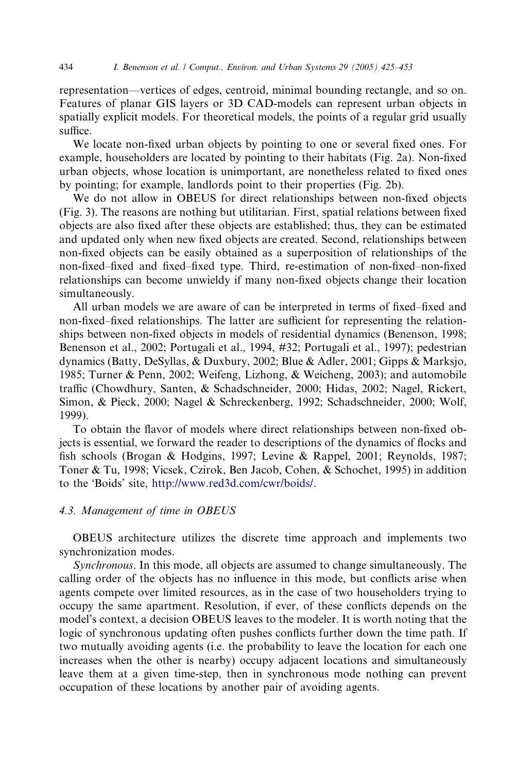representation––vertices of edges, centroid, minimal bounding rectangle, and so on. Features of planar GIS layers or 3D CAD-models can represent urban objects in spatially explicit models. For theoretical models, the points of a regular grid usually suffice.

We locate non-fixed urban objects by pointing to one or several fixed ones. For example, householders are located by pointing to their habitats (Fig. 2a). Non-fixed urban objects, whose location is unimportant, are nonetheless related to fixed ones by pointing; for example, landlords point to their properties (Fig. 2b).

We do not allow in OBEUS for direct relationships between non-fixed objects (Fig. 3). The reasons are nothing but utilitarian. First, spatial relations between fixed objects are also fixed after these objects are established; thus, they can be estimated and updated only when new fixed objects are created. Second, relationships between non-fixed objects can be easily obtained as a superposition of relationships of the non-fixed–fixed and fixed–fixed type. Third, re-estimation of non-fixed–non-fixed relationships can become unwieldy if many non-fixed objects change their location simultaneously.

All urban models we are aware of can be interpreted in terms of fixed–fixed and non-fixed–fixed relationships. The latter are sufficient for representing the relationships between non-fixed objects in models of residential dynamics (Benenson, 1998; Benenson et al., 2002; Portugali et al., 1994, #32; Portugali et al., 1997); pedestrian dynamics (Batty, DeSyllas, & Duxbury, 2002; Blue & Adler, 2001; Gipps & Marksjo, 1985; Turner & Penn, 2002; Weifeng, Lizhong, & Weicheng, 2003); and automobile traffic (Chowdhury, Santen, & Schadschneider, 2000; Hidas, 2002; Nagel, Rickert, Simon, & Pieck, 2000; Nagel & Schreckenberg, 1992; Schadschneider, 2000; Wolf, 1999).

To obtain the flavor of models where direct relationships between non-fixed objects is essential, we forward the reader to descriptions of the dynamics of flocks and fish schools (Brogan & Hodgins, 1997; Levine & Rappel, 2001; Reynolds, 1987; Toner & Tu, 1998; Vicsek, Czirok, Ben Jacob, Cohen, & Schochet, 1995) in addition to the Boids' site, [http://www.red3d.com/cwr/boids/.](http://www.red3d.com/cwr/boids/)

#### 4.3. Management of time in OBEUS

OBEUS architecture utilizes the discrete time approach and implements two synchronization modes.

Synchronous. In this mode, all objects are assumed to change simultaneously. The calling order of the objects has no influence in this mode, but conflicts arise when agents compete over limited resources, as in the case of two householders trying to occupy the same apartment. Resolution, if ever, of these conflicts depends on the model's context, a decision OBEUS leaves to the modeler. It is worth noting that the logic of synchronous updating often pushes conflicts further down the time path. If two mutually avoiding agents (i.e. the probability to leave the location for each one increases when the other is nearby) occupy adjacent locations and simultaneously leave them at a given time-step, then in synchronous mode nothing can prevent occupation of these locations by another pair of avoiding agents.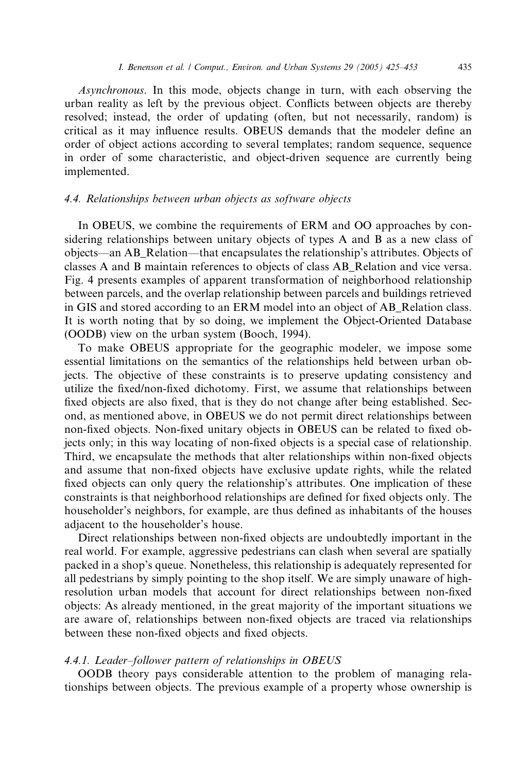Asynchronous. In this mode, objects change in turn, with each observing the urban reality as left by the previous object. Conflicts between objects are thereby resolved; instead, the order of updating (often, but not necessarily, random) is critical as it may influence results. OBEUS demands that the modeler define an order of object actions according to several templates; random sequence, sequence in order of some characteristic, and object-driven sequence are currently being implemented.

#### 4.4. Relationships between urban objects as software objects

In OBEUS, we combine the requirements of ERM and OO approaches by considering relationships between unitary objects of types A and B as a new class of objects––an AB\_Relation––that encapsulates the relationship's attributes. Objects of classes A and B maintain references to objects of class AB\_Relation and vice versa. Fig. 4 presents examples of apparent transformation of neighborhood relationship between parcels, and the overlap relationship between parcels and buildings retrieved in GIS and stored according to an ERM model into an object of AB\_Relation class. It is worth noting that by so doing, we implement the Object-Oriented Database (OODB) view on the urban system (Booch, 1994).

To make OBEUS appropriate for the geographic modeler, we impose some essential limitations on the semantics of the relationships held between urban objects. The objective of these constraints is to preserve updating consistency and utilize the fixed/non-fixed dichotomy. First, we assume that relationships between fixed objects are also fixed, that is they do not change after being established. Second, as mentioned above, in OBEUS we do not permit direct relationships between non-fixed objects. Non-fixed unitary objects in OBEUS can be related to fixed objects only; in this way locating of non-fixed objects is a special case of relationship. Third, we encapsulate the methods that alter relationships within non-fixed objects and assume that non-fixed objects have exclusive update rights, while the related fixed objects can only query the relationship's attributes. One implication of these constraints is that neighborhood relationships are defined for fixed objects only. The householder's neighbors, for example, are thus defined as inhabitants of the houses adjacent to the householder's house.

Direct relationships between non-fixed objects are undoubtedly important in the real world. For example, aggressive pedestrians can clash when several are spatially packed in a shop's queue. Nonetheless, this relationship is adequately represented for all pedestrians by simply pointing to the shop itself. We are simply unaware of highresolution urban models that account for direct relationships between non-fixed objects: As already mentioned, in the great majority of the important situations we are aware of, relationships between non-fixed objects are traced via relationships between these non-fixed objects and fixed objects.

#### 4.4.1. Leader–follower pattern of relationships in OBEUS

OODB theory pays considerable attention to the problem of managing relationships between objects. The previous example of a property whose ownership is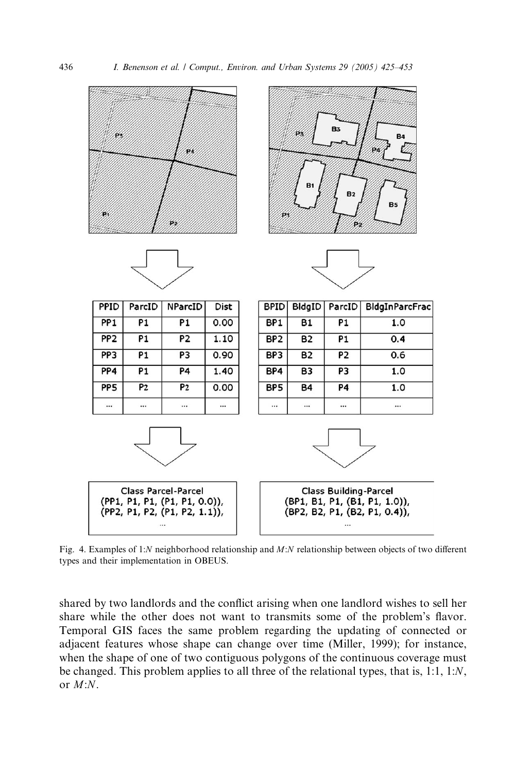

Fig. 4. Examples of 1:N neighborhood relationship and M:N relationship between objects of two different types and their implementation in OBEUS.

shared by two landlords and the conflict arising when one landlord wishes to sell her share while the other does not want to transmits some of the problem's flavor. Temporal GIS faces the same problem regarding the updating of connected or adjacent features whose shape can change over time (Miller, 1999); for instance, when the shape of one of two contiguous polygons of the continuous coverage must be changed. This problem applies to all three of the relational types, that is, 1:1, 1:N, or M:N.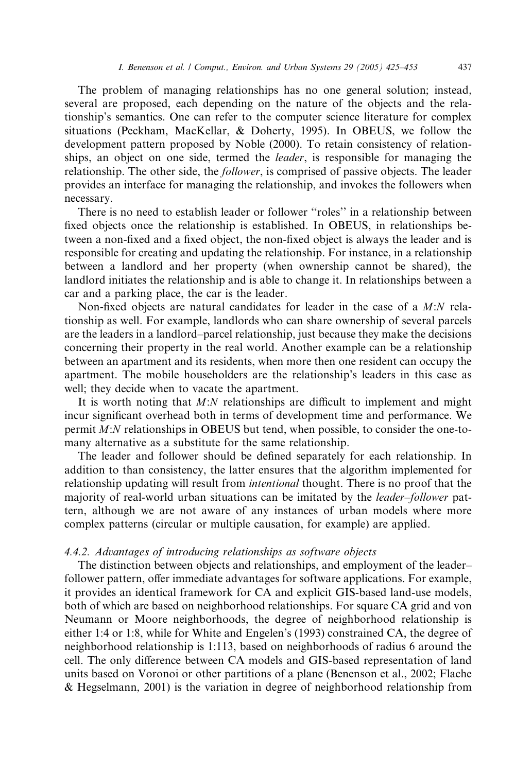The problem of managing relationships has no one general solution; instead, several are proposed, each depending on the nature of the objects and the relationship's semantics. One can refer to the computer science literature for complex situations (Peckham, MacKellar, & Doherty, 1995). In OBEUS, we follow the development pattern proposed by Noble (2000). To retain consistency of relationships, an object on one side, termed the *leader*, is responsible for managing the relationship. The other side, the follower, is comprised of passive objects. The leader provides an interface for managing the relationship, and invokes the followers when necessary.

There is no need to establish leader or follower ''roles'' in a relationship between fixed objects once the relationship is established. In OBEUS, in relationships between a non-fixed and a fixed object, the non-fixed object is always the leader and is responsible for creating and updating the relationship. For instance, in a relationship between a landlord and her property (when ownership cannot be shared), the landlord initiates the relationship and is able to change it. In relationships between a car and a parking place, the car is the leader.

Non-fixed objects are natural candidates for leader in the case of a  $M:N$  relationship as well. For example, landlords who can share ownership of several parcels are the leaders in a landlord–parcel relationship, just because they make the decisions concerning their property in the real world. Another example can be a relationship between an apartment and its residents, when more then one resident can occupy the apartment. The mobile householders are the relationship's leaders in this case as well; they decide when to vacate the apartment.

It is worth noting that  $M:N$  relationships are difficult to implement and might incur significant overhead both in terms of development time and performance. We permit M:N relationships in OBEUS but tend, when possible, to consider the one-tomany alternative as a substitute for the same relationship.

The leader and follower should be defined separately for each relationship. In addition to than consistency, the latter ensures that the algorithm implemented for relationship updating will result from *intentional* thought. There is no proof that the majority of real-world urban situations can be imitated by the leader–follower pattern, although we are not aware of any instances of urban models where more complex patterns (circular or multiple causation, for example) are applied.

#### 4.4.2. Advantages of introducing relationships as software objects

The distinction between objects and relationships, and employment of the leader– follower pattern, offer immediate advantages for software applications. For example, it provides an identical framework for CA and explicit GIS-based land-use models, both of which are based on neighborhood relationships. For square CA grid and von Neumann or Moore neighborhoods, the degree of neighborhood relationship is either 1:4 or 1:8, while for White and Engelen's (1993) constrained CA, the degree of neighborhood relationship is 1:113, based on neighborhoods of radius 6 around the cell. The only difference between CA models and GIS-based representation of land units based on Voronoi or other partitions of a plane (Benenson et al., 2002; Flache & Hegselmann, 2001) is the variation in degree of neighborhood relationship from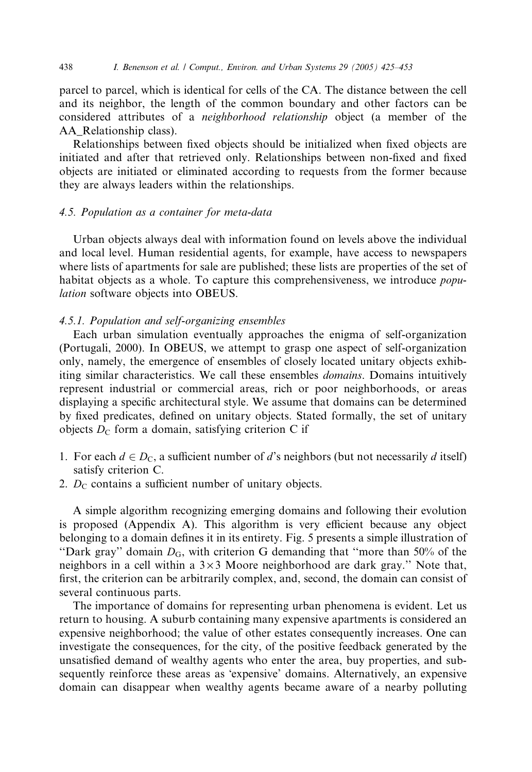parcel to parcel, which is identical for cells of the CA. The distance between the cell and its neighbor, the length of the common boundary and other factors can be considered attributes of a neighborhood relationship object (a member of the AA\_Relationship class).

Relationships between fixed objects should be initialized when fixed objects are initiated and after that retrieved only. Relationships between non-fixed and fixed objects are initiated or eliminated according to requests from the former because they are always leaders within the relationships.

# 4.5. Population as a container for meta-data

Urban objects always deal with information found on levels above the individual and local level. Human residential agents, for example, have access to newspapers where lists of apartments for sale are published; these lists are properties of the set of habitat objects as a whole. To capture this comprehensiveness, we introduce *popu*lation software objects into OBEUS.

# 4.5.1. Population and self-organizing ensembles

Each urban simulation eventually approaches the enigma of self-organization (Portugali, 2000). In OBEUS, we attempt to grasp one aspect of self-organization only, namely, the emergence of ensembles of closely located unitary objects exhibiting similar characteristics. We call these ensembles *domains*. Domains intuitively represent industrial or commercial areas, rich or poor neighborhoods, or areas displaying a specific architectural style. We assume that domains can be determined by fixed predicates, defined on unitary objects. Stated formally, the set of unitary objects  $D_C$  form a domain, satisfying criterion C if

- 1. For each  $d \in D_{\rm C}$ , a sufficient number of d's neighbors (but not necessarily d itself) satisfy criterion C.
- 2.  $D_{\rm C}$  contains a sufficient number of unitary objects.

A simple algorithm recognizing emerging domains and following their evolution is proposed (Appendix A). This algorithm is very efficient because any object belonging to a domain defines it in its entirety. Fig. 5 presents a simple illustration of "Dark gray" domain  $D_G$ , with criterion G demanding that "more than 50% of the neighbors in a cell within a  $3 \times 3$  Moore neighborhood are dark gray." Note that, first, the criterion can be arbitrarily complex, and, second, the domain can consist of several continuous parts.

The importance of domains for representing urban phenomena is evident. Let us return to housing. A suburb containing many expensive apartments is considered an expensive neighborhood; the value of other estates consequently increases. One can investigate the consequences, for the city, of the positive feedback generated by the unsatisfied demand of wealthy agents who enter the area, buy properties, and subsequently reinforce these areas as 'expensive' domains. Alternatively, an expensive domain can disappear when wealthy agents became aware of a nearby polluting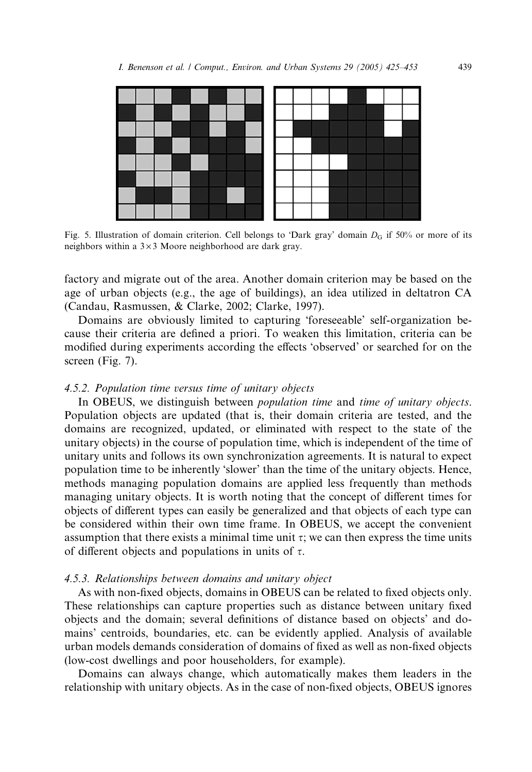

Fig. 5. Illustration of domain criterion. Cell belongs to 'Dark gray' domain  $D_G$  if 50% or more of its neighbors within a  $3 \times 3$  Moore neighborhood are dark gray.

factory and migrate out of the area. Another domain criterion may be based on the age of urban objects (e.g., the age of buildings), an idea utilized in deltatron CA (Candau, Rasmussen, & Clarke, 2002; Clarke, 1997).

Domains are obviously limited to capturing foreseeable' self-organization because their criteria are defined a priori. To weaken this limitation, criteria can be modified during experiments according the effects 'observed' or searched for on the screen (Fig. 7).

## 4.5.2. Population time versus time of unitary objects

In OBEUS, we distinguish between *population time* and *time of unitary objects*. Population objects are updated (that is, their domain criteria are tested, and the domains are recognized, updated, or eliminated with respect to the state of the unitary objects) in the course of population time, which is independent of the time of unitary units and follows its own synchronization agreements. It is natural to expect population time to be inherently slower' than the time of the unitary objects. Hence, methods managing population domains are applied less frequently than methods managing unitary objects. It is worth noting that the concept of different times for objects of different types can easily be generalized and that objects of each type can be considered within their own time frame. In OBEUS, we accept the convenient assumption that there exists a minimal time unit  $\tau$ ; we can then express the time units of different objects and populations in units of  $\tau$ .

## 4.5.3. Relationships between domains and unitary object

As with non-fixed objects, domains in OBEUS can be related to fixed objects only. These relationships can capture properties such as distance between unitary fixed objects and the domain; several definitions of distance based on objects' and domains' centroids, boundaries, etc. can be evidently applied. Analysis of available urban models demands consideration of domains of fixed as well as non-fixed objects (low-cost dwellings and poor householders, for example).

Domains can always change, which automatically makes them leaders in the relationship with unitary objects. As in the case of non-fixed objects, OBEUS ignores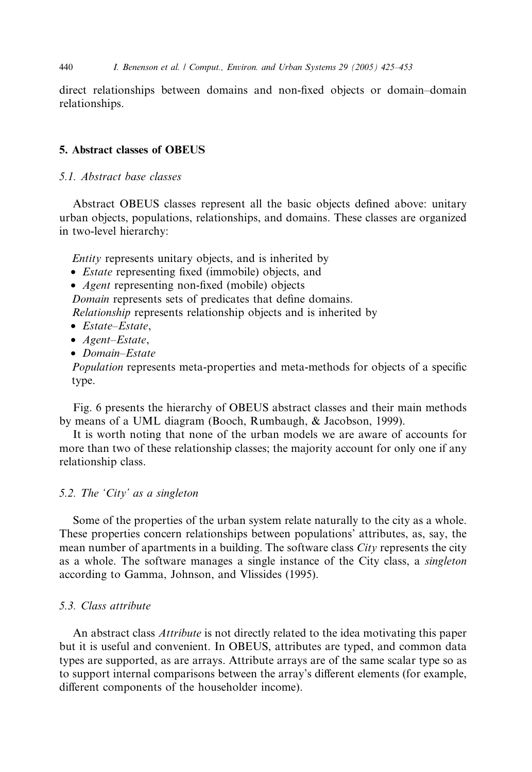direct relationships between domains and non-fixed objects or domain–domain relationships.

# 5. Abstract classes of OBEUS

# 5.1. Abstract base classes

Abstract OBEUS classes represent all the basic objects defined above: unitary urban objects, populations, relationships, and domains. These classes are organized in two-level hierarchy:

Entity represents unitary objects, and is inherited by

- *Estate* representing fixed (immobile) objects, and
- *Agent* representing non-fixed (mobile) objects

Domain represents sets of predicates that define domains.

Relationship represents relationship objects and is inherited by

- Estate–Estate,
- Agent–Estate,
- Domain–Estate

Population represents meta-properties and meta-methods for objects of a specific type.

Fig. 6 presents the hierarchy of OBEUS abstract classes and their main methods by means of a UML diagram (Booch, Rumbaugh, & Jacobson, 1999).

It is worth noting that none of the urban models we are aware of accounts for more than two of these relationship classes; the majority account for only one if any relationship class.

# 5.2. The 'City' as a singleton

Some of the properties of the urban system relate naturally to the city as a whole. These properties concern relationships between populations' attributes, as, say, the mean number of apartments in a building. The software class City represents the city as a whole. The software manages a single instance of the City class, a singleton according to Gamma, Johnson, and Vlissides (1995).

# 5.3. Class attribute

An abstract class Attribute is not directly related to the idea motivating this paper but it is useful and convenient. In OBEUS, attributes are typed, and common data types are supported, as are arrays. Attribute arrays are of the same scalar type so as to support internal comparisons between the array's different elements (for example, different components of the householder income).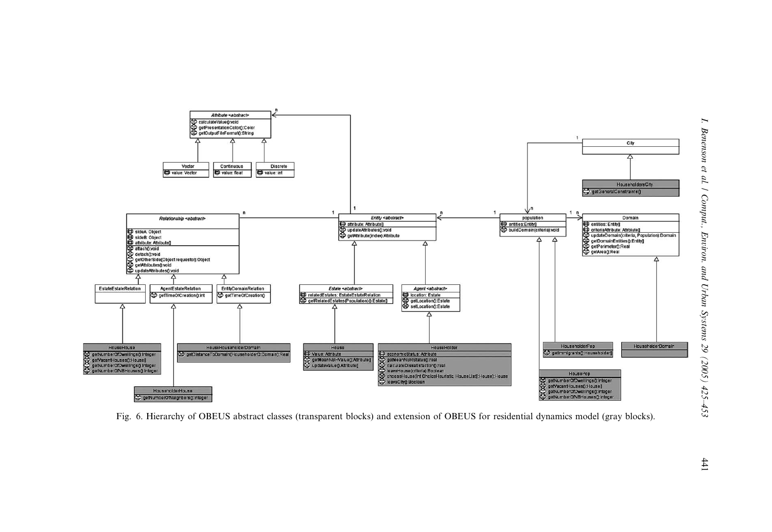

Fig. 6. Hierarchy of OBEUS abstract classes (transparent blocks) and extension of OBEUS for residential dynamics model (gray blocks).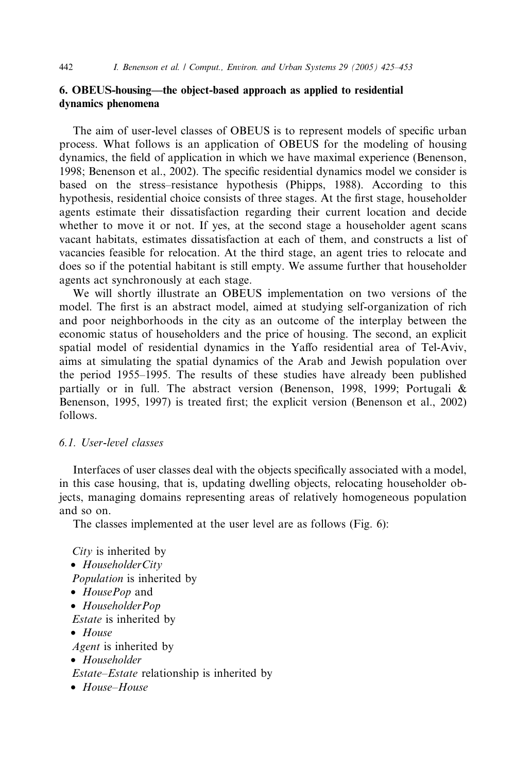# 6. OBEUS-housing––the object-based approach as applied to residential dynamics phenomena

The aim of user-level classes of OBEUS is to represent models of specific urban process. What follows is an application of OBEUS for the modeling of housing dynamics, the field of application in which we have maximal experience (Benenson, 1998; Benenson et al., 2002). The specific residential dynamics model we consider is based on the stress–resistance hypothesis (Phipps, 1988). According to this hypothesis, residential choice consists of three stages. At the first stage, householder agents estimate their dissatisfaction regarding their current location and decide whether to move it or not. If yes, at the second stage a householder agent scans vacant habitats, estimates dissatisfaction at each of them, and constructs a list of vacancies feasible for relocation. At the third stage, an agent tries to relocate and does so if the potential habitant is still empty. We assume further that householder agents act synchronously at each stage.

We will shortly illustrate an OBEUS implementation on two versions of the model. The first is an abstract model, aimed at studying self-organization of rich and poor neighborhoods in the city as an outcome of the interplay between the economic status of householders and the price of housing. The second, an explicit spatial model of residential dynamics in the Yaffo residential area of Tel-Aviv, aims at simulating the spatial dynamics of the Arab and Jewish population over the period 1955–1995. The results of these studies have already been published partially or in full. The abstract version (Benenson, 1998, 1999; Portugali & Benenson, 1995, 1997) is treated first; the explicit version (Benenson et al., 2002) follows.

# 6.1. User-level classes

Interfaces of user classes deal with the objects specifically associated with a model, in this case housing, that is, updating dwelling objects, relocating householder objects, managing domains representing areas of relatively homogeneous population and so on.

The classes implemented at the user level are as follows (Fig. 6):

 $City$  is inherited by

- HouseholderCity
- Population is inherited by
- HousePop and
- HouseholderPop

Estate is inherited by

- House
- Agent is inherited by
- Householder
- Estate–Estate relationship is inherited by
- House-House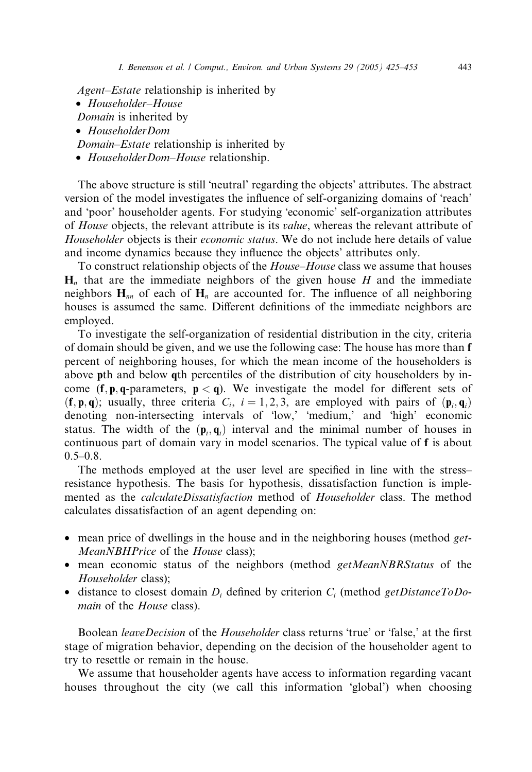Agent–Estate relationship is inherited by

- Householder–House
- Domain is inherited by
- HouseholderDom
- Domain–Estate relationship is inherited by
- HouseholderDom–House relationship.

The above structure is still 'neutral' regarding the objects' attributes. The abstract version of the model investigates the influence of self-organizing domains of reach' and 'poor' householder agents. For studying 'economic' self-organization attributes of House objects, the relevant attribute is its value, whereas the relevant attribute of Householder objects is their economic status. We do not include here details of value and income dynamics because they influence the objects' attributes only.

To construct relationship objects of the *House–House* class we assume that houses  $H_n$  that are the immediate neighbors of the given house H and the immediate neighbors  $H_{nn}$  of each of  $H_n$  are accounted for. The influence of all neighboring houses is assumed the same. Different definitions of the immediate neighbors are employed.

To investigate the self-organization of residential distribution in the city, criteria of domain should be given, and we use the following case: The house has more than f percent of neighboring houses, for which the mean income of the householders is above pth and below qth percentiles of the distribution of city householders by income (f, p, q-parameters,  $p < q$ ). We investigate the model for different sets of  $(f, p, q)$ ; usually, three criteria  $C_i$ ,  $i = 1, 2, 3$ , are employed with pairs of  $(p_i, q_i)$ denoting non-intersecting intervals of low,' medium,' and high' economic status. The width of the  $(\mathbf{p}_i, \mathbf{q}_i)$  interval and the minimal number of houses in continuous part of domain vary in model scenarios. The typical value of f is about  $0.5 - 0.8$ .

The methods employed at the user level are specified in line with the stress– resistance hypothesis. The basis for hypothesis, dissatisfaction function is implemented as the calculateDissatisfaction method of Householder class. The method calculates dissatisfaction of an agent depending on:

- mean price of dwellings in the house and in the neighboring houses (method get-MeanNBHPrice of the House class);
- mean economic status of the neighbors (method *getMeanNBRStatus* of the Householder class);
- distance to closest domain  $D_i$  defined by criterion  $C_i$  (method getDistanceToDomain of the *House* class).

Boolean *leaveDecision* of the *Householder* class returns 'true' or 'false,' at the first stage of migration behavior, depending on the decision of the householder agent to try to resettle or remain in the house.

We assume that householder agents have access to information regarding vacant houses throughout the city (we call this information 'global') when choosing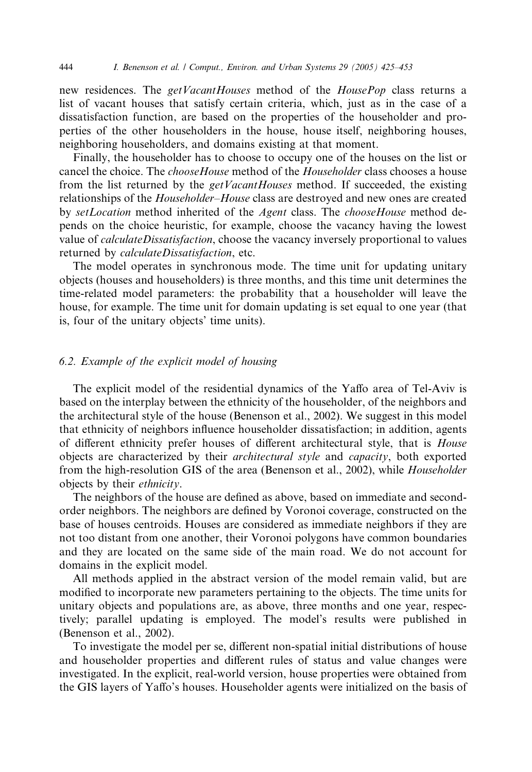new residences. The getVacantHouses method of the HousePop class returns a list of vacant houses that satisfy certain criteria, which, just as in the case of a dissatisfaction function, are based on the properties of the householder and properties of the other householders in the house, house itself, neighboring houses, neighboring householders, and domains existing at that moment.

Finally, the householder has to choose to occupy one of the houses on the list or cancel the choice. The *chooseHouse* method of the *Householder* class chooses a house from the list returned by the *getVacantHouses* method. If succeeded, the existing relationships of the Householder–House class are destroyed and new ones are created by setLocation method inherited of the Agent class. The chooseHouse method depends on the choice heuristic, for example, choose the vacancy having the lowest value of calculateDissatisfaction, choose the vacancy inversely proportional to values returned by calculateDissatisfaction, etc.

The model operates in synchronous mode. The time unit for updating unitary objects (houses and householders) is three months, and this time unit determines the time-related model parameters: the probability that a householder will leave the house, for example. The time unit for domain updating is set equal to one year (that is, four of the unitary objects' time units).

# 6.2. Example of the explicit model of housing

The explicit model of the residential dynamics of the Yaffo area of Tel-Aviv is based on the interplay between the ethnicity of the householder, of the neighbors and the architectural style of the house (Benenson et al., 2002). We suggest in this model that ethnicity of neighbors influence householder dissatisfaction; in addition, agents of different ethnicity prefer houses of different architectural style, that is House objects are characterized by their architectural style and capacity, both exported from the high-resolution GIS of the area (Benenson et al., 2002), while Householder objects by their ethnicity.

The neighbors of the house are defined as above, based on immediate and secondorder neighbors. The neighbors are defined by Voronoi coverage, constructed on the base of houses centroids. Houses are considered as immediate neighbors if they are not too distant from one another, their Voronoi polygons have common boundaries and they are located on the same side of the main road. We do not account for domains in the explicit model.

All methods applied in the abstract version of the model remain valid, but are modified to incorporate new parameters pertaining to the objects. The time units for unitary objects and populations are, as above, three months and one year, respectively; parallel updating is employed. The model's results were published in (Benenson et al., 2002).

To investigate the model per se, different non-spatial initial distributions of house and householder properties and different rules of status and value changes were investigated. In the explicit, real-world version, house properties were obtained from the GIS layers of Yaffo's houses. Householder agents were initialized on the basis of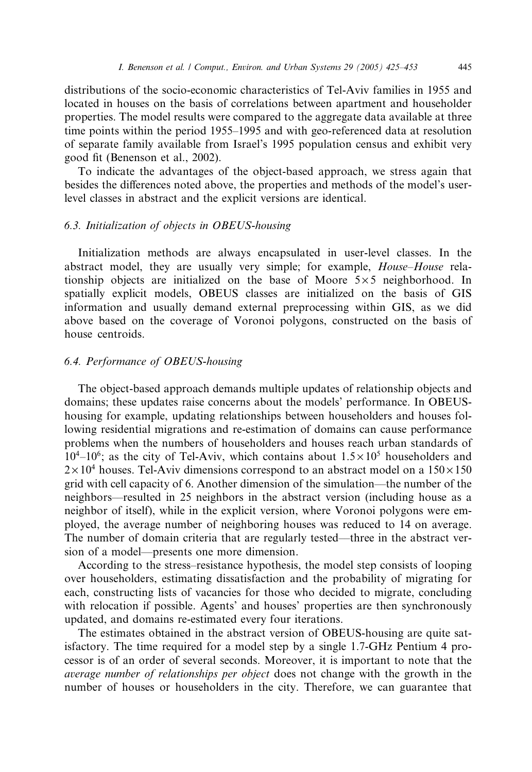distributions of the socio-economic characteristics of Tel-Aviv families in 1955 and located in houses on the basis of correlations between apartment and householder properties. The model results were compared to the aggregate data available at three time points within the period 1955–1995 and with geo-referenced data at resolution of separate family available from Israel's 1995 population census and exhibit very good fit (Benenson et al., 2002).

To indicate the advantages of the object-based approach, we stress again that besides the differences noted above, the properties and methods of the model's userlevel classes in abstract and the explicit versions are identical.

## 6.3. Initialization of objects in OBEUS-housing

Initialization methods are always encapsulated in user-level classes. In the abstract model, they are usually very simple; for example, House–House relationship objects are initialized on the base of Moore  $5 \times 5$  neighborhood. In spatially explicit models, OBEUS classes are initialized on the basis of GIS information and usually demand external preprocessing within GIS, as we did above based on the coverage of Voronoi polygons, constructed on the basis of house centroids.

# 6.4. Performance of OBEUS-housing

The object-based approach demands multiple updates of relationship objects and domains; these updates raise concerns about the models' performance. In OBEUShousing for example, updating relationships between householders and houses following residential migrations and re-estimation of domains can cause performance problems when the numbers of householders and houses reach urban standards of  $10^4$ – $10^6$ ; as the city of Tel-Aviv, which contains about  $1.5 \times 10^5$  householders and  $2 \times 10^4$  houses. Tel-Aviv dimensions correspond to an abstract model on a  $150 \times 150$ grid with cell capacity of 6. Another dimension of the simulation––the number of the neighbors––resulted in 25 neighbors in the abstract version (including house as a neighbor of itself), while in the explicit version, where Voronoi polygons were employed, the average number of neighboring houses was reduced to 14 on average. The number of domain criteria that are regularly tested––three in the abstract version of a model––presents one more dimension.

According to the stress–resistance hypothesis, the model step consists of looping over householders, estimating dissatisfaction and the probability of migrating for each, constructing lists of vacancies for those who decided to migrate, concluding with relocation if possible. Agents' and houses' properties are then synchronously updated, and domains re-estimated every four iterations.

The estimates obtained in the abstract version of OBEUS-housing are quite satisfactory. The time required for a model step by a single 1.7-GHz Pentium 4 processor is of an order of several seconds. Moreover, it is important to note that the average number of relationships per object does not change with the growth in the number of houses or householders in the city. Therefore, we can guarantee that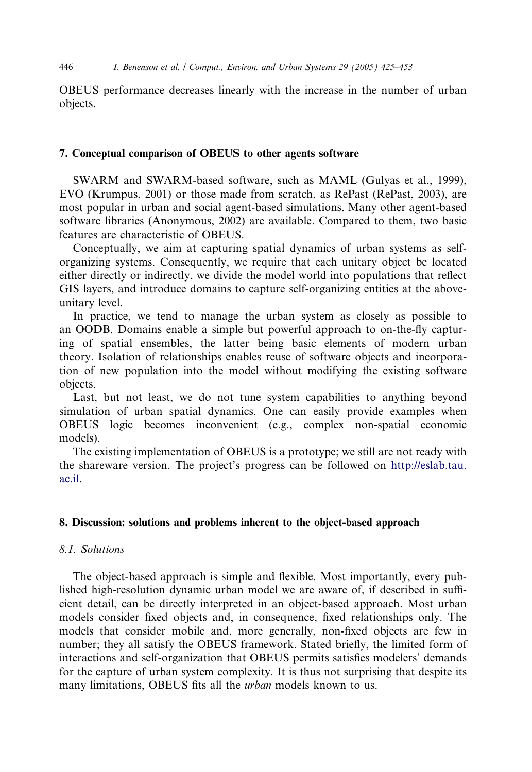OBEUS performance decreases linearly with the increase in the number of urban objects.

## 7. Conceptual comparison of OBEUS to other agents software

SWARM and SWARM-based software, such as MAML (Gulyas et al., 1999), EVO (Krumpus, 2001) or those made from scratch, as RePast (RePast, 2003), are most popular in urban and social agent-based simulations. Many other agent-based software libraries (Anonymous, 2002) are available. Compared to them, two basic features are characteristic of OBEUS.

Conceptually, we aim at capturing spatial dynamics of urban systems as selforganizing systems. Consequently, we require that each unitary object be located either directly or indirectly, we divide the model world into populations that reflect GIS layers, and introduce domains to capture self-organizing entities at the aboveunitary level.

In practice, we tend to manage the urban system as closely as possible to an OODB. Domains enable a simple but powerful approach to on-the-fly capturing of spatial ensembles, the latter being basic elements of modern urban theory. Isolation of relationships enables reuse of software objects and incorporation of new population into the model without modifying the existing software objects.

Last, but not least, we do not tune system capabilities to anything beyond simulation of urban spatial dynamics. One can easily provide examples when OBEUS logic becomes inconvenient (e.g., complex non-spatial economic models).

The existing implementation of OBEUS is a prototype; we still are not ready with the shareware version. The project's progress can be followed on [http://eslab.tau.](http://eslab.tau.ac.il) [ac.il.](http://eslab.tau.ac.il)

## 8. Discussion: solutions and problems inherent to the object-based approach

### 8.1. Solutions

The object-based approach is simple and flexible. Most importantly, every published high-resolution dynamic urban model we are aware of, if described in sufficient detail, can be directly interpreted in an object-based approach. Most urban models consider fixed objects and, in consequence, fixed relationships only. The models that consider mobile and, more generally, non-fixed objects are few in number; they all satisfy the OBEUS framework. Stated briefly, the limited form of interactions and self-organization that OBEUS permits satisfies modelers' demands for the capture of urban system complexity. It is thus not surprising that despite its many limitations, OBEUS fits all the *urban* models known to us.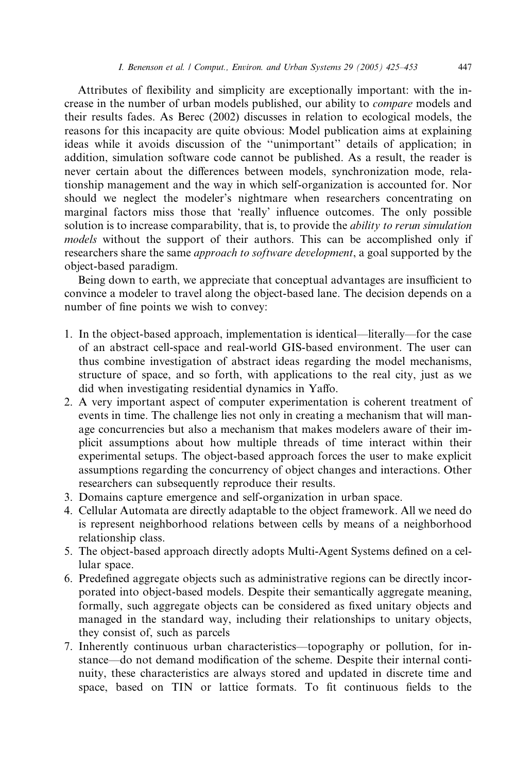Attributes of flexibility and simplicity are exceptionally important: with the increase in the number of urban models published, our ability to compare models and their results fades. As Berec (2002) discusses in relation to ecological models, the reasons for this incapacity are quite obvious: Model publication aims at explaining ideas while it avoids discussion of the ''unimportant'' details of application; in addition, simulation software code cannot be published. As a result, the reader is never certain about the differences between models, synchronization mode, relationship management and the way in which self-organization is accounted for. Nor should we neglect the modeler's nightmare when researchers concentrating on marginal factors miss those that 'really' influence outcomes. The only possible solution is to increase comparability, that is, to provide the *ability to rerun simulation* models without the support of their authors. This can be accomplished only if researchers share the same approach to software development, a goal supported by the object-based paradigm.

Being down to earth, we appreciate that conceptual advantages are insufficient to convince a modeler to travel along the object-based lane. The decision depends on a number of fine points we wish to convey:

- 1. In the object-based approach, implementation is identical––literally––for the case of an abstract cell-space and real-world GIS-based environment. The user can thus combine investigation of abstract ideas regarding the model mechanisms, structure of space, and so forth, with applications to the real city, just as we did when investigating residential dynamics in Yaffo.
- 2. A very important aspect of computer experimentation is coherent treatment of events in time. The challenge lies not only in creating a mechanism that will manage concurrencies but also a mechanism that makes modelers aware of their implicit assumptions about how multiple threads of time interact within their experimental setups. The object-based approach forces the user to make explicit assumptions regarding the concurrency of object changes and interactions. Other researchers can subsequently reproduce their results.
- 3. Domains capture emergence and self-organization in urban space.
- 4. Cellular Automata are directly adaptable to the object framework. All we need do is represent neighborhood relations between cells by means of a neighborhood relationship class.
- 5. The object-based approach directly adopts Multi-Agent Systems defined on a cellular space.
- 6. Predefined aggregate objects such as administrative regions can be directly incorporated into object-based models. Despite their semantically aggregate meaning, formally, such aggregate objects can be considered as fixed unitary objects and managed in the standard way, including their relationships to unitary objects, they consist of, such as parcels
- 7. Inherently continuous urban characteristics––topography or pollution, for instance––do not demand modification of the scheme. Despite their internal continuity, these characteristics are always stored and updated in discrete time and space, based on TIN or lattice formats. To fit continuous fields to the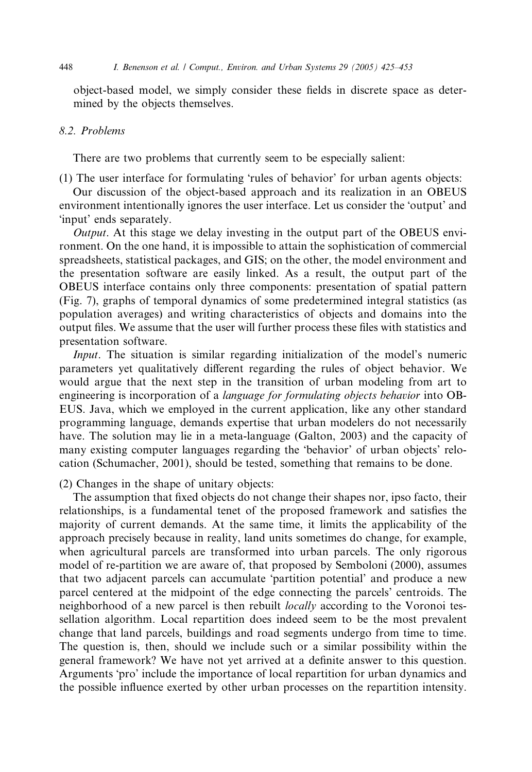#### 448 I. Benenson et al. / Comput., Environ. and Urban Systems 29 (2005) 425–453

object-based model, we simply consider these fields in discrete space as determined by the objects themselves.

## 8.2. Problems

There are two problems that currently seem to be especially salient:

 $(1)$  The user interface for formulating 'rules of behavior' for urban agents objects:

Our discussion of the object-based approach and its realization in an OBEUS environment intentionally ignores the user interface. Let us consider the 'output' and input' ends separately.

Output. At this stage we delay investing in the output part of the OBEUS environment. On the one hand, it is impossible to attain the sophistication of commercial spreadsheets, statistical packages, and GIS; on the other, the model environment and the presentation software are easily linked. As a result, the output part of the OBEUS interface contains only three components: presentation of spatial pattern (Fig. 7), graphs of temporal dynamics of some predetermined integral statistics (as population averages) and writing characteristics of objects and domains into the output files. We assume that the user will further process these files with statistics and presentation software.

Input. The situation is similar regarding initialization of the model's numeric parameters yet qualitatively different regarding the rules of object behavior. We would argue that the next step in the transition of urban modeling from art to engineering is incorporation of a language for formulating objects behavior into OB-EUS. Java, which we employed in the current application, like any other standard programming language, demands expertise that urban modelers do not necessarily have. The solution may lie in a meta-language (Galton, 2003) and the capacity of many existing computer languages regarding the 'behavior' of urban objects' relocation (Schumacher, 2001), should be tested, something that remains to be done.

(2) Changes in the shape of unitary objects:

The assumption that fixed objects do not change their shapes nor, ipso facto, their relationships, is a fundamental tenet of the proposed framework and satisfies the majority of current demands. At the same time, it limits the applicability of the approach precisely because in reality, land units sometimes do change, for example, when agricultural parcels are transformed into urban parcels. The only rigorous model of re-partition we are aware of, that proposed by Semboloni (2000), assumes that two adjacent parcels can accumulate 'partition potential' and produce a new parcel centered at the midpoint of the edge connecting the parcels' centroids. The neighborhood of a new parcel is then rebuilt locally according to the Voronoi tessellation algorithm. Local repartition does indeed seem to be the most prevalent change that land parcels, buildings and road segments undergo from time to time. The question is, then, should we include such or a similar possibility within the general framework? We have not yet arrived at a definite answer to this question. Arguments 'pro' include the importance of local repartition for urban dynamics and the possible influence exerted by other urban processes on the repartition intensity.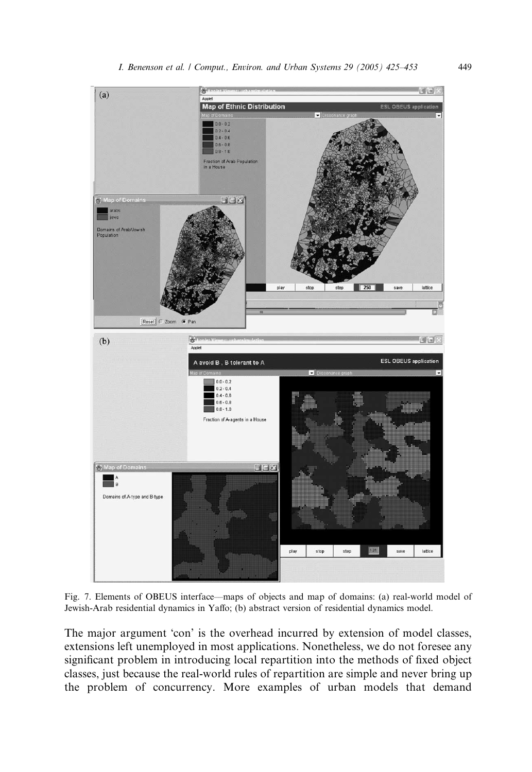

Fig. 7. Elements of OBEUS interface––maps of objects and map of domains: (a) real-world model of Jewish-Arab residential dynamics in Yaffo; (b) abstract version of residential dynamics model.

The major argument 'con' is the overhead incurred by extension of model classes, extensions left unemployed in most applications. Nonetheless, we do not foresee any significant problem in introducing local repartition into the methods of fixed object classes, just because the real-world rules of repartition are simple and never bring up the problem of concurrency. More examples of urban models that demand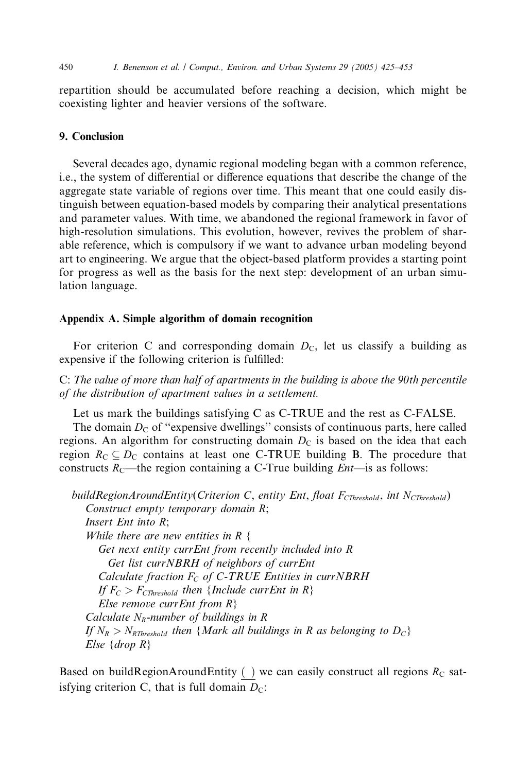repartition should be accumulated before reaching a decision, which might be coexisting lighter and heavier versions of the software.

# 9. Conclusion

Several decades ago, dynamic regional modeling began with a common reference, i.e., the system of differential or difference equations that describe the change of the aggregate state variable of regions over time. This meant that one could easily distinguish between equation-based models by comparing their analytical presentations and parameter values. With time, we abandoned the regional framework in favor of high-resolution simulations. This evolution, however, revives the problem of sharable reference, which is compulsory if we want to advance urban modeling beyond art to engineering. We argue that the object-based platform provides a starting point for progress as well as the basis for the next step: development of an urban simulation language.

#### Appendix A. Simple algorithm of domain recognition

For criterion C and corresponding domain  $D<sub>C</sub>$ , let us classify a building as expensive if the following criterion is fulfilled:

C: The value of more than half of apartments in the building is above the 90th percentile of the distribution of apartment values in a settlement.

Let us mark the buildings satisfying C as C-TRUE and the rest as C-FALSE.

The domain  $D<sub>C</sub>$  of "expensive dwellings" consists of continuous parts, here called regions. An algorithm for constructing domain  $D<sub>C</sub>$  is based on the idea that each region  $R_C \subseteq D_C$  contains at least one C-TRUE building B. The procedure that constructs  $R<sub>C</sub>$ —the region containing a C-True building *Ent*—is as follows:

| build Region Around Entity (Criterion C, entity Ent, float $F_{\text{CThreshold}}$ , int $N_{\text{CThreshold}}$ ) |
|--------------------------------------------------------------------------------------------------------------------|
| Construct empty temporary domain R;                                                                                |
| <i>Insert Ent into R</i> ;                                                                                         |
| While there are new entities in $R \{$                                                                             |
| Get next entity currEnt from recently included into R                                                              |
| Get list currNBRH of neighbors of currEnt                                                                          |
| Calculate fraction $F_C$ of C-TRUE Entities in currNBRH                                                            |
| If $F_C > F_{\text{CThreshold}}$ then {Include currEnt in R}                                                       |
| <i>Else remove currEnt from R</i> }                                                                                |
| Calculate $N_R$ -number of buildings in R                                                                          |
| If $N_R > N_{RThreshold}$ then {Mark all buildings in R as belonging to $D_C$ }                                    |
| Else $\{drop\ R\}$                                                                                                 |

Based on buildRegionAroundEntity  $($  ) we can easily construct all regions  $R_C$  satisfying criterion C, that is full domain  $D_{\text{C}}$ :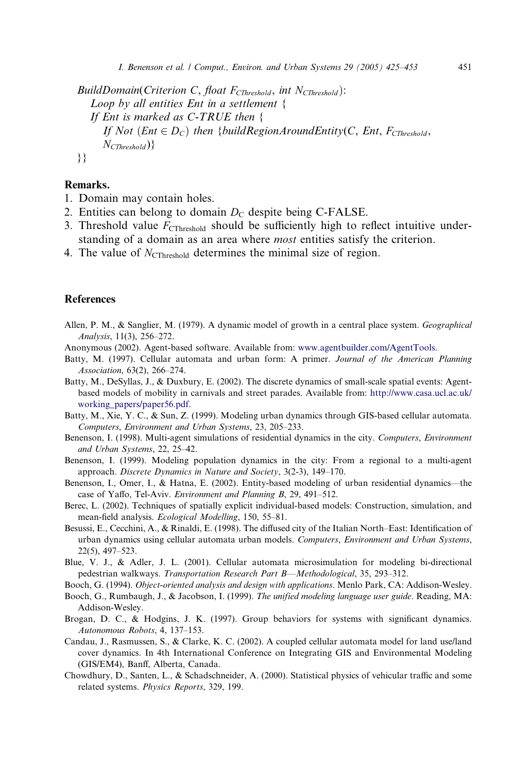BuildDomain(Criterion C, float  $F_{\text{CThreshold}}$ , int  $N_{\text{CThreshold}}$ ): Loop by all entities Ent in a settlement { If Ent is marked as C-TRUE then { If Not (Ent  $\in D_C$ ) then {buildRegionAroundEntity(C, Ent, F<sub>CThreshold</sub>,  $N_{\text{CThreshold}}\}$ 

}}

#### Remarks.

- 1. Domain may contain holes.
- 2. Entities can belong to domain  $D_C$  despite being C-FALSE.
- 3. Threshold value  $F_{\text{CThreshold}}$  should be sufficiently high to reflect intuitive understanding of a domain as an area where *most* entities satisfy the criterion.
- 4. The value of  $N_{\text{CThreshold}}$  determines the minimal size of region.

# **References**

- Allen, P. M., & Sanglier, M. (1979). A dynamic model of growth in a central place system. Geographical Analysis, 11(3), 256–272.
- Anonymous (2002). Agent-based software. Available from: [www.agentbuilder.com/AgentTools.](http://www.agentbuilder.com/AgentTools)
- Batty, M. (1997). Cellular automata and urban form: A primer. Journal of the American Planning Association, 63(2), 266–274.
- Batty, M., DeSyllas, J., & Duxbury, E. (2002). The discrete dynamics of small-scale spatial events: Agentbased models of mobility in carnivals and street parades. Available from: [http://www.casa.ucl.ac.uk/](http://www.casa.ucl.ac.uk/working_papers/paper56.pdf) [working\\_papers/paper56.pdf](http://www.casa.ucl.ac.uk/working_papers/paper56.pdf).
- Batty, M., Xie, Y. C., & Sun, Z. (1999). Modeling urban dynamics through GIS-based cellular automata. Computers, Environment and Urban Systems, 23, 205–233.
- Benenson, I. (1998). Multi-agent simulations of residential dynamics in the city. Computers, Environment and Urban Systems, 22, 25–42.
- Benenson, I. (1999). Modeling population dynamics in the city: From a regional to a multi-agent approach. Discrete Dynamics in Nature and Society, 3(2-3), 149–170.
- Benenson, I., Omer, I., & Hatna, E. (2002). Entity-based modeling of urban residential dynamics––the case of Yaffo, Tel-Aviv. Environment and Planning B, 29, 491–512.
- Berec, L. (2002). Techniques of spatially explicit individual-based models: Construction, simulation, and mean-field analysis. Ecological Modelling, 150, 55–81.
- Besussi, E., Cecchini, A., & Rinaldi, E. (1998). The diffused city of the Italian North–East: Identification of urban dynamics using cellular automata urban models. Computers, Environment and Urban Systems, 22(5), 497–523.
- Blue, V. J., & Adler, J. L. (2001). Cellular automata microsimulation for modeling bi-directional pedestrian walkways. Transportation Research Part B––Methodological, 35, 293–312.
- Booch, G. (1994). Object-oriented analysis and design with applications. Menlo Park, CA: Addison-Wesley.
- Booch, G., Rumbaugh, J., & Jacobson, I. (1999). The unified modeling language user guide. Reading, MA: Addison-Wesley.
- Brogan, D. C., & Hodgins, J. K. (1997). Group behaviors for systems with significant dynamics. Autonomous Robots, 4, 137–153.
- Candau, J., Rasmussen, S., & Clarke, K. C. (2002). A coupled cellular automata model for land use/land cover dynamics. In 4th International Conference on Integrating GIS and Environmental Modeling (GIS/EM4), Banff, Alberta, Canada.
- Chowdhury, D., Santen, L., & Schadschneider, A. (2000). Statistical physics of vehicular traffic and some related systems. Physics Reports, 329, 199.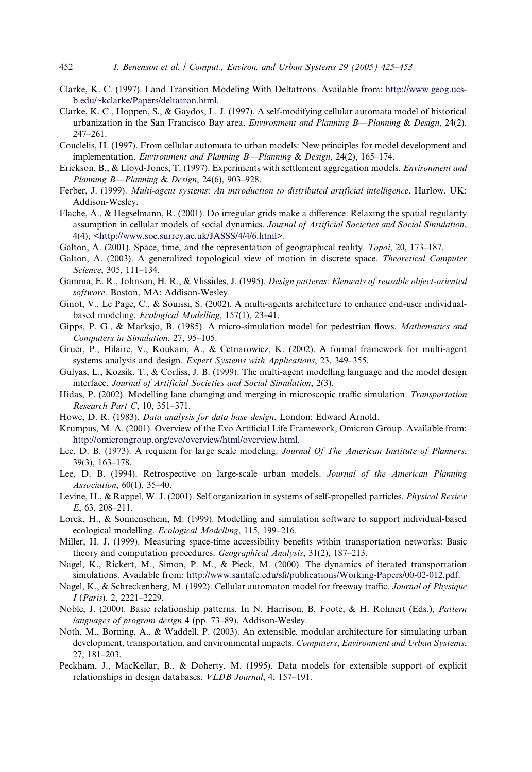- 452 I. Benenson et al. / Comput., Environ. and Urban Systems 29 (2005) 425–453
- Clarke, K. C. (1997). Land Transition Modeling With Deltatrons. Available from: [http://www.geog.ucs](http://www.geog.ucsb.edu/~kclarke/Papers/deltatron.html)[b.edu/~kclarke/Papers/deltatron.html.](http://www.geog.ucsb.edu/~kclarke/Papers/deltatron.html)
- Clarke, K. C., Hoppen, S., & Gaydos, L. J. (1997). A self-modifying cellular automata model of historical urbanization in the San Francisco Bay area. *Environment and Planning B—Planning & Design*, 24(2), 247–261.
- Couclelis, H. (1997). From cellular automata to urban models: New principles for model development and implementation. Environment and Planning B-Planning & Design, 24(2), 165-174.
- Erickson, B., & Lloyd-Jones, T. (1997). Experiments with settlement aggregation models. Environment and Planning B––Planning & Design, 24(6), 903–928.
- Ferber, J. (1999). Multi-agent systems: An introduction to distributed artificial intelligence. Harlow, UK: Addison-Wesley.
- Flache, A., & Hegselmann, R. (2001). Do irregular grids make a difference. Relaxing the spatial regularity assumption in cellular models of social dynamics. Journal of Artificial Societies and Social Simulation, 4(4), <[http://www.soc.surrey.ac.uk/JASSS/4/4/6.html>](http://www.soc.surrey.ac.uk/JASSS/4/4/6.html).
- Galton, A. (2001). Space, time, and the representation of geographical reality. Topoi, 20, 173–187.
- Galton, A. (2003). A generalized topological view of motion in discrete space. Theoretical Computer Science, 305, 111–134.
- Gamma, E. R., Johnson, H. R., & Vlissides, J. (1995). Design patterns: Elements of reusable object-oriented software. Boston, MA: Addison-Wesley.
- Ginot, V., Le Page, C., & Souissi, S. (2002). A multi-agents architecture to enhance end-user individualbased modeling. Ecological Modelling, 157(1), 23–41.
- Gipps, P. G., & Marksjo, B. (1985). A micro-simulation model for pedestrian flows. Mathematics and Computers in Simulation, 27, 95–105.
- Gruer, P., Hilaire, V., Koukam, A., & Cetnarowicz, K. (2002). A formal framework for multi-agent systems analysis and design. Expert Systems with Applications, 23, 349–355.
- Gulyas, L., Kozsik, T., & Corliss, J. B. (1999). The multi-agent modelling language and the model design interface. Journal of Artificial Societies and Social Simulation, 2(3).
- Hidas, P. (2002). Modelling lane changing and merging in microscopic traffic simulation. Transportation Research Part C, 10, 351–371.
- Howe, D. R. (1983). Data analysis for data base design. London: Edward Arnold.
- Krumpus, M. A. (2001). Overview of the Evo Artificial Life Framework, Omicron Group. Available from: [http://omicrongroup.org/evo/overview/html/overview.html.](http://omicrongroup.org/evo/overview/html/overview.html)
- Lee, D. B. (1973). A requiem for large scale modeling. Journal Of The American Institute of Planners, 39(3), 163–178.
- Lee, D. B. (1994). Retrospective on large-scale urban models. Journal of the American Planning Association, 60(1), 35–40.
- Levine, H., & Rappel, W. J. (2001). Self organization in systems of self-propelled particles. Physical Review E, 63, 208–211.
- Lorek, H., & Sonnenschein, M. (1999). Modelling and simulation software to support individual-based ecological modelling. Ecological Modelling, 115, 199–216.
- Miller, H. J. (1999). Measuring space-time accessibility benefits within transportation networks: Basic theory and computation procedures. Geographical Analysis, 31(2), 187–213.
- Nagel, K., Rickert, M., Simon, P. M., & Pieck, M. (2000). The dynamics of iterated transportation simulations. Available from: <http://www.santafe.edu/sfi/publications/Working-Papers/00-02-012.pdf>.
- Nagel, K., & Schreckenberg, M. (1992). Cellular automaton model for freeway traffic. Journal of Physique I (Paris), 2, 2221–2229.
- Noble, J. (2000). Basic relationship patterns. In N. Harrison, B. Foote, & H. Rohnert (Eds.), Pattern languages of program design 4 (pp. 73–89). Addison-Wesley.
- Noth, M., Borning, A., & Waddell, P. (2003). An extensible, modular architecture for simulating urban development, transportation, and environmental impacts. Computers, Environment and Urban Systems, 27, 181–203.
- Peckham, J., MacKellar, B., & Doherty, M. (1995). Data models for extensible support of explicit relationships in design databases. VLDB Journal, 4, 157–191.